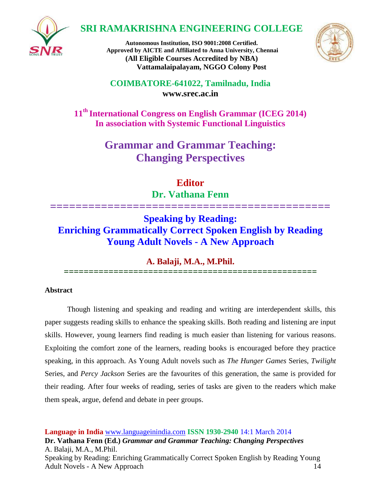

# **SRI RAMAKRISHNA ENGINEERING COLLEGE**





**COIMBATORE-641022, Tamilnadu, India [www.srec.ac.in](http://www.srec.ac.in/)**

**11th International Congress on English Grammar (ICEG 2014) In association with Systemic Functional Linguistics**

> **Grammar and Grammar Teaching: Changing Perspectives**

> > **Editor Dr. Vathana Fenn**

**============================================**

**Speaking by Reading: Enriching Grammatically Correct Spoken English by Reading Young Adult Novels - A New Approach**

**A. Balaji, M.A., M.Phil.**

**===================================================**

# **Abstract**

Though listening and speaking and reading and writing are interdependent skills, this paper suggests reading skills to enhance the speaking skills. Both reading and listening are input skills. However, young learners find reading is much easier than listening for various reasons. Exploiting the comfort zone of the learners, reading books is encouraged before they practice speaking, in this approach. As Young Adult novels such as *The Hunger Games* Series, *Twilight* Series, and *Percy Jackson* Series are the favourites of this generation, the same is provided for their reading. After four weeks of reading, series of tasks are given to the readers which make them speak, argue, defend and debate in peer groups.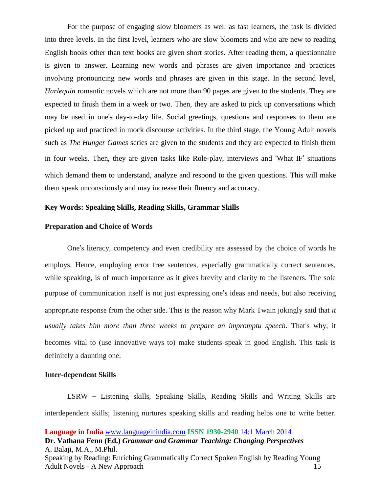For the purpose of engaging slow bloomers as well as fast learners, the task is divided into three levels. In the first level, learners who are slow bloomers and who are new to reading English books other than text books are given short stories. After reading them, a questionnaire is given to answer. Learning new words and phrases are given importance and practices involving pronouncing new words and phrases are given in this stage. In the second level, *Harlequin* romantic novels which are not more than 90 pages are given to the students. They are expected to finish them in a week or two. Then, they are asked to pick up conversations which may be used in one's day-to-day life. Social greetings, questions and responses to them are picked up and practiced in mock discourse activities. In the third stage, the Young Adult novels such as *The Hunger Games* series are given to the students and they are expected to finish them in four weeks. Then, they are given tasks like Role-play, interviews and 'What IF' situations which demand them to understand, analyze and respond to the given questions. This will make them speak unconsciously and may increase their fluency and accuracy.

## **Key Words: Speaking Skills, Reading Skills, Grammar Skills**

#### **Preparation and Choice of Words**

One's literacy, competency and even credibility are assessed by the choice of words he employs. Hence, employing error free sentences, especially grammatically correct sentences, while speaking, is of much importance as it gives brevity and clarity to the listeners. The sole purpose of communication itself is not just expressing one's ideas and needs, but also receiving appropriate response from the other side. This is the reason why Mark Twain jokingly said that *it usually takes him more than three weeks to prepare an impromptu speech*. That's why, it becomes vital to (use innovative ways to) make students speak in good English. This task is definitely a daunting one.

#### **Inter-dependent Skills**

LSRW – Listening skills, Speaking Skills, Reading Skills and Writing Skills are interdependent skills; listening nurtures speaking skills and reading helps one to write better.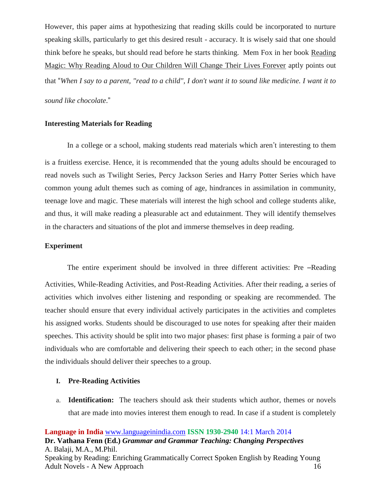However, this paper aims at hypothesizing that reading skills could be incorporated to nurture speaking skills, particularly to get this desired result - accuracy. It is wisely said that one should think before he speaks, but should read before he starts thinking. Mem Fox in her book Reading Magic: Why Reading Aloud to Our Children Will Change Their Lives Forever aptly points out that "*When I say to a parent, "read to a child", I don't want it to sound like medicine. I want it to sound like chocolate*."

#### **Interesting Materials for Reading**

In a college or a school, making students read materials which aren't interesting to them is a fruitless exercise. Hence, it is recommended that the young adults should be encouraged to read novels such as Twilight Series, Percy Jackson Series and Harry Potter Series which have common young adult themes such as coming of age, hindrances in assimilation in community, teenage love and magic. These materials will interest the high school and college students alike, and thus, it will make reading a pleasurable act and edutainment. They will identify themselves in the characters and situations of the plot and immerse themselves in deep reading.

#### **Experiment**

The entire experiment should be involved in three different activities: Pre –Reading Activities, While-Reading Activities, and Post-Reading Activities. After their reading, a series of activities which involves either listening and responding or speaking are recommended. The teacher should ensure that every individual actively participates in the activities and completes his assigned works. Students should be discouraged to use notes for speaking after their maiden speeches. This activity should be split into two major phases: first phase is forming a pair of two individuals who are comfortable and delivering their speech to each other; in the second phase the individuals should deliver their speeches to a group.

#### **I. Pre-Reading Activities**

a. **Identification:** The teachers should ask their students which author, themes or novels that are made into movies interest them enough to read. In case if a student is completely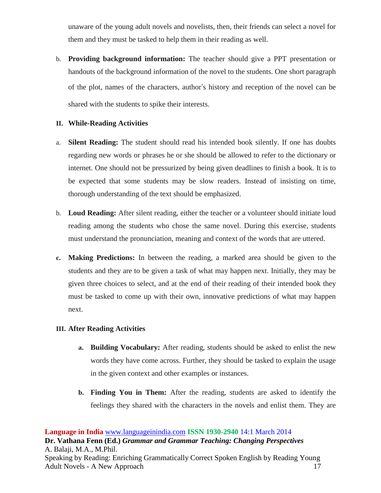unaware of the young adult novels and novelists, then, their friends can select a novel for them and they must be tasked to help them in their reading as well.

b. **Providing background information:** The teacher should give a PPT presentation or handouts of the background information of the novel to the students. One short paragraph of the plot, names of the characters, author's history and reception of the novel can be shared with the students to spike their interests.

## **II. While-Reading Activities**

- a. **Silent Reading:** The student should read his intended book silently. If one has doubts regarding new words or phrases he or she should be allowed to refer to the dictionary or internet. One should not be pressurized by being given deadlines to finish a book. It is to be expected that some students may be slow readers. Instead of insisting on time, thorough understanding of the text should be emphasized.
- b. **Loud Reading:** After silent reading, either the teacher or a volunteer should initiate loud reading among the students who chose the same novel. During this exercise, students must understand the pronunciation, meaning and context of the words that are uttered.
- **c. Making Predictions:** In between the reading, a marked area should be given to the students and they are to be given a task of what may happen next. Initially, they may be given three choices to select, and at the end of their reading of their intended book they must be tasked to come up with their own, innovative predictions of what may happen next.

# **III. After Reading Activities**

- **a. Building Vocabulary:** After reading, students should be asked to enlist the new words they have come across. Further, they should be tasked to explain the usage in the given context and other examples or instances.
- **b. Finding You in Them:** After the reading, students are asked to identify the feelings they shared with the characters in the novels and enlist them. They are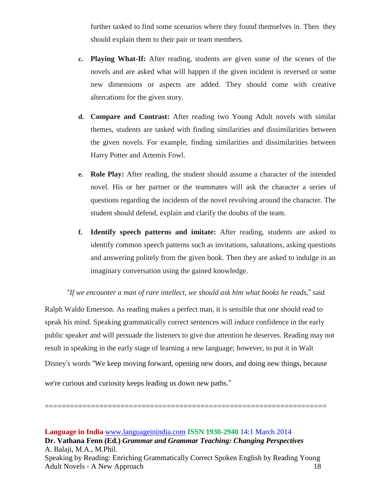further tasked to find some scenarios where they found themselves in. Then they should explain them to their pair or team members.

- **c. Playing What-If:** After reading, students are given some of the scenes of the novels and are asked what will happen if the given incident is reversed or some new dimensions or aspects are added. They should come with creative altercations for the given story.
- **d. Compare and Contrast:** After reading two Young Adult novels with similar themes, students are tasked with finding similarities and dissimilarities between the given novels. For example, finding similarities and dissimilarities between Harry Potter and Artemis Fowl.
- **e. Role Play:** After reading, the student should assume a character of the intended novel. His or her partner or the teammates will ask the character a series of questions regarding the incidents of the novel revolving around the character. The student should defend, explain and clarify the doubts of the team.
- **f. Identify speech patterns and imitate:** After reading, students are asked to identify common speech patterns such as invitations, salutations, asking questions and answering politely from the given book. Then they are asked to indulge in an imaginary conversation using the gained knowledge.

## "*If we encounter a man of rare intellect, we should ask him what books he reads,*" said

Ralph Waldo Emerson. As reading makes a perfect man, it is sensible that one should read to speak his mind. Speaking grammatically correct sentences will induce confidence in the early public speaker and will persuade the listeners to give due attention he deserves. Reading may not result in speaking in the early stage of learning a new language; however, to put it in Walt Disney's words "We keep moving forward, opening new doors, and doing new things, because

we're curious and curiosity keeps leading us down new paths."

**Language in India** [www.languageinindia.com](http://www.languageinindia.com/) **ISSN 1930-2940** 14:1 March 2014 **Dr. Vathana Fenn (Ed.)** *Grammar and Grammar Teaching: Changing Perspectives* A. Balaji, M.A., M.Phil. Speaking by Reading: Enriching Grammatically Correct Spoken English by Reading Young Adult Novels - A New Approach 18

===================================================================